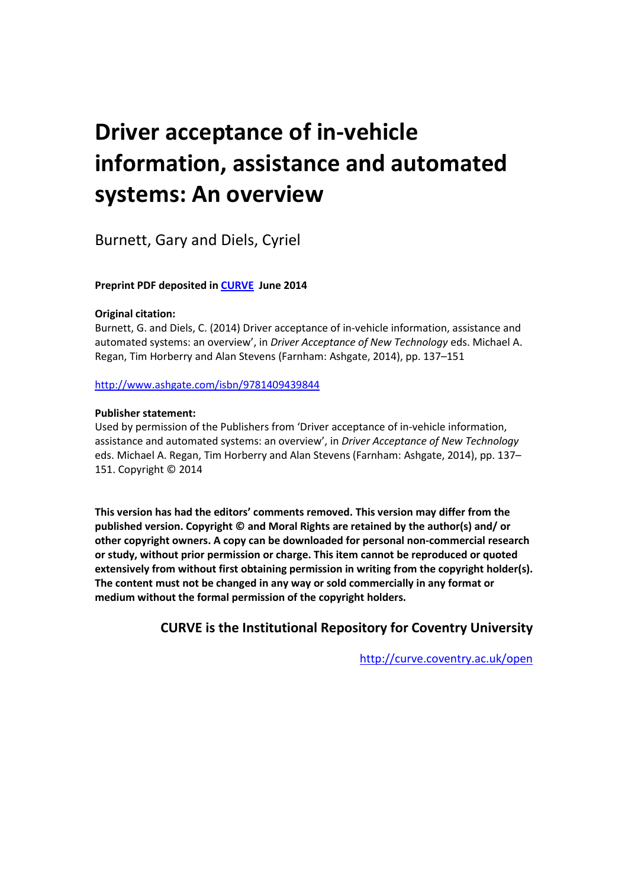# **Driver acceptance of in-vehicle information, assistance and automated systems: An overview**

Burnett, Gary and Diels, Cyriel

## **Preprint PDF deposited i[n CURVE](http://curve.coventry.ac.uk/open) June 2014**

### **Original citation:**

Burnett, G. and Diels, C. (2014) Driver acceptance of in-vehicle information, assistance and automated systems: an overview', in *Driver Acceptance of New Technology* eds. Michael A. Regan, Tim Horberry and Alan Stevens (Farnham: Ashgate, 2014), pp. 137–151

<http://www.ashgate.com/isbn/9781409439844>

## **Publisher statement:**

Used by permission of the Publishers from 'Driver acceptance of in-vehicle information, assistance and automated systems: an overview', in *Driver Acceptance of New Technology* eds. Michael A. Regan, Tim Horberry and Alan Stevens (Farnham: Ashgate, 2014), pp. 137– 151. Copyright © 2014

**This version has had the editors' comments removed. This version may differ from the published version. Copyright © and Moral Rights are retained by the author(s) and/ or other copyright owners. A copy can be downloaded for personal non-commercial research or study, without prior permission or charge. This item cannot be reproduced or quoted extensively from without first obtaining permission in writing from the copyright holder(s). The content must not be changed in any way or sold commercially in any format or medium without the formal permission of the copyright holders.**

## **CURVE is the Institutional Repository for Coventry University**

<http://curve.coventry.ac.uk/open>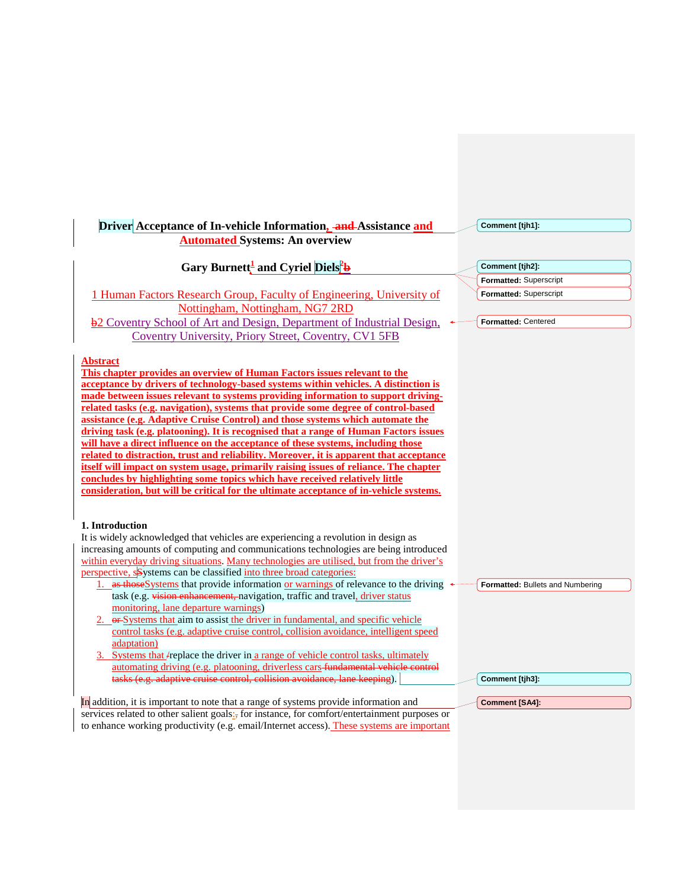| Driver Acceptance of In-vehicle Information, and Assistance and                                                                                                                                                                                                                                                                                                                                                                                                                                                                                                                                                                                                                                                                                                                                                                                                                                                                                                                                                                   | Comment [tjh1]:                                     |
|-----------------------------------------------------------------------------------------------------------------------------------------------------------------------------------------------------------------------------------------------------------------------------------------------------------------------------------------------------------------------------------------------------------------------------------------------------------------------------------------------------------------------------------------------------------------------------------------------------------------------------------------------------------------------------------------------------------------------------------------------------------------------------------------------------------------------------------------------------------------------------------------------------------------------------------------------------------------------------------------------------------------------------------|-----------------------------------------------------|
| <b>Automated Systems: An overview</b>                                                                                                                                                                                                                                                                                                                                                                                                                                                                                                                                                                                                                                                                                                                                                                                                                                                                                                                                                                                             |                                                     |
|                                                                                                                                                                                                                                                                                                                                                                                                                                                                                                                                                                                                                                                                                                                                                                                                                                                                                                                                                                                                                                   |                                                     |
| Gary Burnett <sup>1</sup> and Cyriel Diels <sup>2</sup> b                                                                                                                                                                                                                                                                                                                                                                                                                                                                                                                                                                                                                                                                                                                                                                                                                                                                                                                                                                         | Comment [tjh2]:                                     |
|                                                                                                                                                                                                                                                                                                                                                                                                                                                                                                                                                                                                                                                                                                                                                                                                                                                                                                                                                                                                                                   | Formatted: Superscript                              |
| 1 Human Factors Research Group, Faculty of Engineering, University of                                                                                                                                                                                                                                                                                                                                                                                                                                                                                                                                                                                                                                                                                                                                                                                                                                                                                                                                                             | Formatted: Superscript                              |
| Nottingham, Nottingham, NG7 2RD                                                                                                                                                                                                                                                                                                                                                                                                                                                                                                                                                                                                                                                                                                                                                                                                                                                                                                                                                                                                   |                                                     |
| <b>b2</b> Coventry School of Art and Design, Department of Industrial Design,                                                                                                                                                                                                                                                                                                                                                                                                                                                                                                                                                                                                                                                                                                                                                                                                                                                                                                                                                     | Formatted: Centered                                 |
| Coventry University, Priory Street, Coventry, CV1 5FB                                                                                                                                                                                                                                                                                                                                                                                                                                                                                                                                                                                                                                                                                                                                                                                                                                                                                                                                                                             |                                                     |
| <b>Abstract</b><br>This chapter provides an overview of Human Factors issues relevant to the<br>acceptance by drivers of technology-based systems within vehicles. A distinction is<br>made between issues relevant to systems providing information to support driving-<br>related tasks (e.g. navigation), systems that provide some degree of control-based<br>assistance (e.g. Adaptive Cruise Control) and those systems which automate the<br>driving task (e.g. platooning). It is recognised that a range of Human Factors issues<br>will have a direct influence on the acceptance of these systems, including those<br>related to distraction, trust and reliability. Moreover, it is apparent that acceptance<br>itself will impact on system usage, primarily raising issues of reliance. The chapter<br>concludes by highlighting some topics which have received relatively little<br>consideration, but will be critical for the ultimate acceptance of in-vehicle systems.                                        |                                                     |
| 1. Introduction<br>It is widely acknowledged that vehicles are experiencing a revolution in design as<br>increasing amounts of computing and communications technologies are being introduced<br>within everyday driving situations. Many technologies are utilised, but from the driver's<br>perspective, systems can be classified into three broad categories:<br>1. as those Systems that provide information or warnings of relevance to the driving<br>task (e.g. vision enhancement, navigation, traffic and travel, driver status<br>monitoring, lane departure warnings)<br>2. or Systems that aim to assist the driver in fundamental, and specific vehicle<br>control tasks (e.g. adaptive cruise control, collision avoidance, intelligent speed<br>adaptation)<br>3. Systems that replace the driver in a range of vehicle control tasks, ultimately<br>automating driving (e.g. platooning, driverless cars-fundamental vehicle control<br>tasks (e.g. adaptive cruise control, collision avoidance, lane keeping). | Formatted: Bullets and Numbering<br>Comment [tjh3]: |
| In addition, it is important to note that a range of systems provide information and                                                                                                                                                                                                                                                                                                                                                                                                                                                                                                                                                                                                                                                                                                                                                                                                                                                                                                                                              | <b>Comment [SA4]:</b>                               |
| services related to other salient goals: <sub>7</sub> for instance, for comfort/entertainment purposes or<br>to enhance working productivity (e.g. email/Internet access). These systems are important                                                                                                                                                                                                                                                                                                                                                                                                                                                                                                                                                                                                                                                                                                                                                                                                                            |                                                     |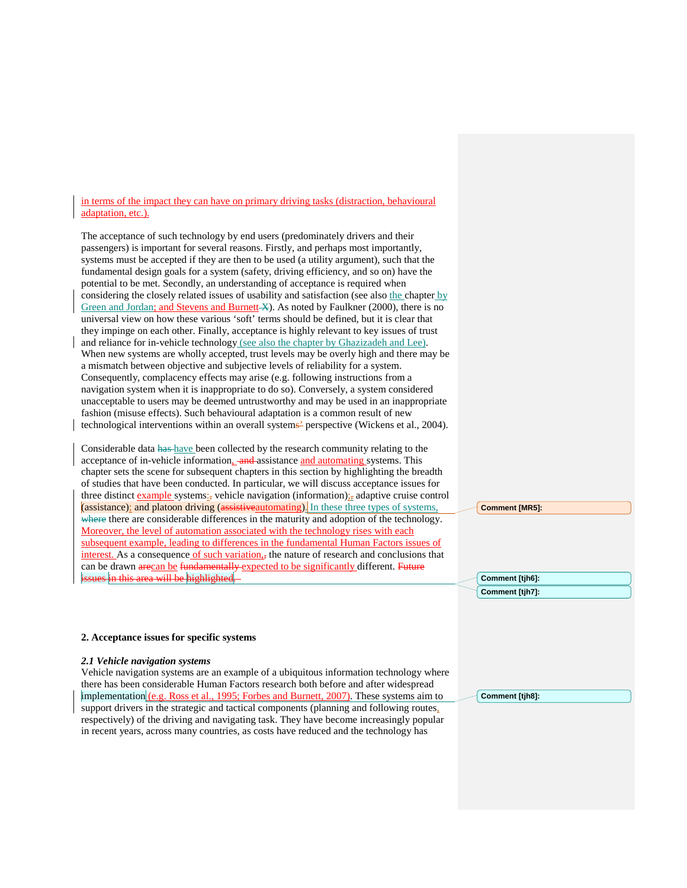#### in terms of the impact they can have on primary driving tasks (distraction, behavioural adaptation, etc.).

The acceptance of such technology by end users (predominately drivers and their passengers) is important for several reasons. Firstly, and perhaps most importantly, systems must be accepted if they are then to be used (a utility argument), such that the fundamental design goals for a system (safety, driving efficiency, and so on) have the potential to be met. Secondly, an understanding of acceptance is required when considering the closely related issues of usability and satisfaction (see also the chapter by Green and Jordan; and Stevens and Burnett-X). As noted by Faulkner (2000), there is no universal view on how these various 'soft' terms should be defined, but it is clear that they impinge on each other. Finally, acceptance is highly relevant to key issues of trust and reliance for in-vehicle technology (see also the chapter by Ghazizadeh and Lee). When new systems are wholly accepted, trust levels may be overly high and there may be a mismatch between objective and subjective levels of reliability for a system. Consequently, complacency effects may arise (e.g. following instructions from a navigation system when it is inappropriate to do so). Conversely, a system considered unacceptable to users may be deemed untrustworthy and may be used in an inappropriate fashion (misuse effects). Such behavioural adaptation is a common result of new technological interventions within an overall systems' perspective (Wickens et al., 2004).

Considerable data has have been collected by the research community relating to the acceptance of in-vehicle information, and assistance and automating systems. This chapter sets the scene for subsequent chapters in this section by highlighting the breadth of studies that have been conducted. In particular, we will discuss acceptance issues for three distinct example systems:- vehicle navigation (information);- adaptive cruise control (assistance); and platoon driving (assistiveautomating). In these three types of systems where there are considerable differences in the maturity and adoption of the technology. Moreover, the level of automation associated with the technology rises with each subsequent example, leading to differences in the fundamental Human Factors issues of interest. As a consequence of such variation, $\tau$ , the nature of research and conclusions that can be drawn arecan be fundamentally expected to be significantly different. Future  $\frac{1}{\sqrt{1+\frac{1}{\sqrt{1+\frac{1}{\sqrt{1+\frac{1}{\sqrt{1+\frac{1}{\sqrt{1+\frac{1}{\sqrt{1+\frac{1}{\sqrt{1+\frac{1}{\sqrt{1+\frac{1}{\sqrt{1+\frac{1}{\sqrt{1+\frac{1}{\sqrt{1+\frac{1}{\sqrt{1+\frac{1}{\sqrt{1+\frac{1}{\sqrt{1+\frac{1}{\sqrt{1+\frac{1}{\sqrt{1+\frac{1}{\sqrt{1+\frac{1}{\sqrt{1+\frac{1}{\sqrt{1+\frac{1}{\sqrt{1+\frac{1}{\sqrt{1+\frac{1}{\sqrt{1+\frac{1}{\sqrt{1+\frac{1}{\sqrt{1+\frac{1$ 

**Comment [MR5]:** 

**Comment [tjh6]: Comment [tjh7]:** 

#### **2. Acceptance issues for specific systems**

#### *2.1 Vehicle navigation systems*

Vehicle navigation systems are an example of a ubiquitous information technology where there has been considerable Human Factors research both before and after widespread implementation (e.g. Ross et al., 1995; Forbes and Burnett, 2007). These systems aim to support drivers in the strategic and tactical components (planning and following routes, respectively) of the driving and navigating task. They have become increasingly popular in recent years, across many countries, as costs have reduced and the technology has

**Comment [tjh8]:**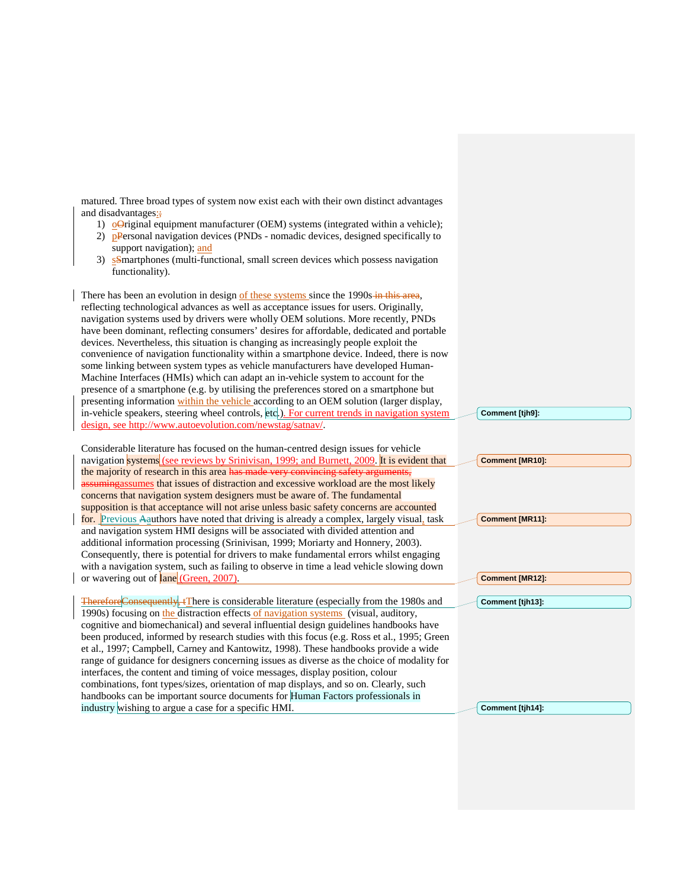| matured. Three broad types of system now exist each with their own distinct advantages<br>and disadvantages:<br>1) $\Omega$ $\Omega$ $\Omega$ $\Omega$ equipment manufacturer (OEM) systems (integrated within a vehicle);<br><b>pPersonal navigation devices (PNDs - nomadic devices, designed specifically to</b><br>2)<br>support navigation); and<br><b>S</b> martphones (multi-functional, small screen devices which possess navigation<br>3)<br>functionality).                                                                                                                                                                                                                                                                                                                                                                                                                                           |                        |
|------------------------------------------------------------------------------------------------------------------------------------------------------------------------------------------------------------------------------------------------------------------------------------------------------------------------------------------------------------------------------------------------------------------------------------------------------------------------------------------------------------------------------------------------------------------------------------------------------------------------------------------------------------------------------------------------------------------------------------------------------------------------------------------------------------------------------------------------------------------------------------------------------------------|------------------------|
| There has been an evolution in design of these systems since the 1990s-in this area,<br>reflecting technological advances as well as acceptance issues for users. Originally,<br>navigation systems used by drivers were wholly OEM solutions. More recently, PNDs<br>have been dominant, reflecting consumers' desires for affordable, dedicated and portable<br>devices. Nevertheless, this situation is changing as increasingly people exploit the<br>convenience of navigation functionality within a smartphone device. Indeed, there is now<br>some linking between system types as vehicle manufacturers have developed Human-<br>Machine Interfaces (HMIs) which can adapt an in-vehicle system to account for the<br>presence of a smartphone (e.g. by utilising the preferences stored on a smartphone but<br>presenting information within the vehicle according to an OEM solution (larger display, |                        |
| in-vehicle speakers, steering wheel controls, etc.). For current trends in navigation system<br>design, see http://www.autoevolution.com/newstag/satnav/.<br>Considerable literature has focused on the human-centred design issues for vehicle                                                                                                                                                                                                                                                                                                                                                                                                                                                                                                                                                                                                                                                                  | Comment [tjh9]:        |
| navigation systems (see reviews by Srinivisan, 1999; and Burnett, 2009. It is evident that<br>the majority of research in this area has made very convincing safety arguments,<br>assumingassumes that issues of distraction and excessive workload are the most likely<br>concerns that navigation system designers must be aware of. The fundamental<br>supposition is that acceptance will not arise unless basic safety concerns are accounted                                                                                                                                                                                                                                                                                                                                                                                                                                                               | Comment [MR10]:        |
| for. Previous Aguthors have noted that driving is already a complex, largely visual, task<br>and navigation system HMI designs will be associated with divided attention and<br>additional information processing (Srinivisan, 1999; Moriarty and Honnery, 2003).<br>Consequently, there is potential for drivers to make fundamental errors whilst engaging<br>with a navigation system, such as failing to observe in time a lead vehicle slowing down                                                                                                                                                                                                                                                                                                                                                                                                                                                         | <b>Comment [MR11]:</b> |
| or wavering out of lane (Green, 2007).                                                                                                                                                                                                                                                                                                                                                                                                                                                                                                                                                                                                                                                                                                                                                                                                                                                                           | <b>Comment [MR12]:</b> |
| <b>Therefore Consequently, tThere</b> is considerable literature (especially from the 1980s and<br>1990s) focusing on the distraction effects of navigation systems (visual, auditory,<br>cognitive and biomechanical) and several influential design guidelines handbooks have<br>been produced, informed by research studies with this focus (e.g. Ross et al., 1995; Green<br>et al., 1997; Campbell, Carney and Kantowitz, 1998). These handbooks provide a wide<br>range of guidance for designers concerning issues as diverse as the choice of modality for<br>interfaces, the content and timing of voice messages, display position, colour<br>combinations, font types/sizes, orientation of map displays, and so on. Clearly, such<br>handbooks can be important source documents for Human Factors professionals in                                                                                  | Comment [tjh13]:       |
| industry wishing to argue a case for a specific HMI.                                                                                                                                                                                                                                                                                                                                                                                                                                                                                                                                                                                                                                                                                                                                                                                                                                                             | Comment [tjh14]:       |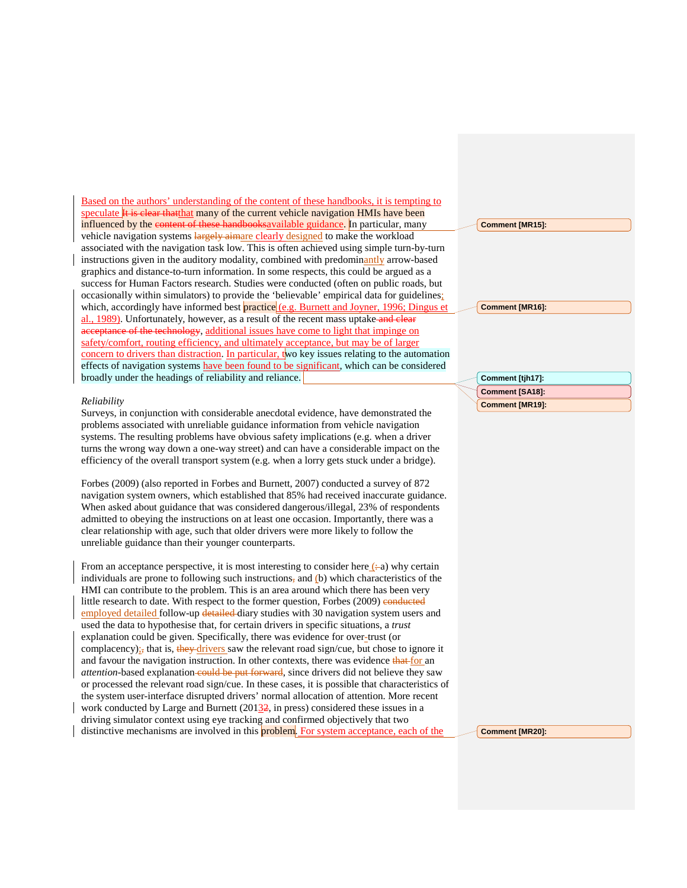Based on the authors' understanding of the content of these handbooks, it is tempting to speculate **It is clear thatthat many of the current vehicle navigation HMIs have been** influenced by the content of these handbooksavailable guidance. In particular, many vehicle navigation systems largely aimare clearly designed to make the workload associated with the navigation task low. This is often achieved using simple turn-by-turn instructions given in the auditory modality, combined with predominantly arrow-based graphics and distance-to-turn information. In some respects, this could be argued as a success for Human Factors research. Studies were conducted (often on public roads, but occasionally within simulators) to provide the 'believable' empirical data for guidelines; which, accordingly have informed best **practice** (e.g. Burnett and Joyner, 1996; Dingus et al., 1989). Unfortunately, however, as a result of the recent mass uptake and clear acceptance of the technology, additional issues have come to light that impinge on safety/comfort, routing efficiency, and ultimately acceptance, but may be of larger concern to drivers than distraction. In particular, two key issues relating to the automation effects of navigation systems have been found to be significant, which can be considered broadly under the headings of reliability and reliance. *Reliability* Surveys, in conjunction with considerable anecdotal evidence, have demonstrated the problems associated with unreliable guidance information from vehicle navigation systems. The resulting problems have obvious safety implications (e.g. when a driver turns the wrong way down a one-way street) and can have a considerable impact on the efficiency of the overall transport system (e.g. when a lorry gets stuck under a bridge). Forbes (2009) (also reported in Forbes and Burnett, 2007) conducted a survey of 872 navigation system owners, which established that 85% had received inaccurate guidance. When asked about guidance that was considered dangerous/illegal, 23% of respondents admitted to obeying the instructions on at least one occasion. Importantly, there was a clear relationship with age, such that older drivers were more likely to follow the unreliable guidance than their younger counterparts. From an acceptance perspective, it is most interesting to consider here  $(0, 4)$  why certain individuals are prone to following such instructions, and  $(b)$  which characteristics of the HMI can contribute to the problem. This is an area around which there has been very little research to date. With respect to the former question, Forbes (2009) conducted employed detailed follow-up detailed diary studies with 30 navigation system users and used the data to hypothesise that, for certain drivers in specific situations, a *trust* explanation could be given. Specifically, there was evidence for over-trust (or complacency) $\frac{1}{25}$  that is, they drivers saw the relevant road sign/cue, but chose to ignore it and favour the navigation instruction. In other contexts, there was evidence that for an *attention*-based explanation-could be put forward, since drivers did not believe they saw or processed the relevant road sign/cue. In these cases, it is possible that characteristics of the system user-interface disrupted drivers' normal allocation of attention. More recent work conducted by Large and Burnett (20132, in press) considered these issues in a driving simulator context using eye tracking and confirmed objectively that two distinctive mechanisms are involved in this **problem**. For system acceptance, each of the **Comment [MR15]: Comment [MR16]: Comment [tjh17]: Comment [SA18]: Comment [MR19]: Comment [MR20]:**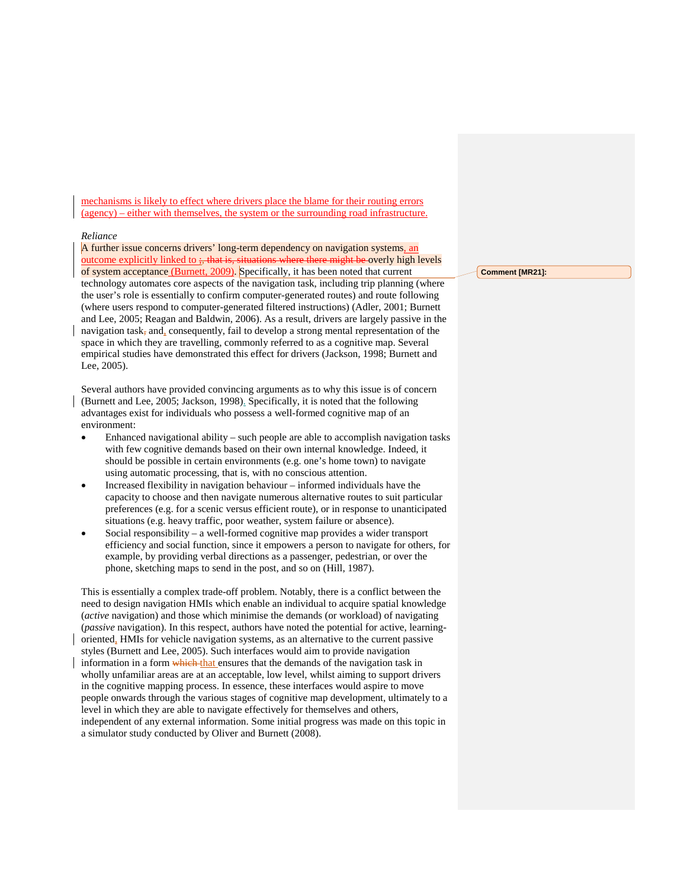mechanisms is likely to effect where drivers place the blame for their routing errors (agency) – either with themselves, the system or the surrounding road infrastructure.

#### *Reliance*

A further issue concerns drivers' long-term dependency on navigation systems, an outcome explicitly linked to :, that is, situations where there might be overly high levels of system acceptance (Burnett, 2009). Specifically, it has been noted that current technology automates core aspects of the navigation task, including trip planning (where the user's role is essentially to confirm computer-generated routes) and route following (where users respond to computer-generated filtered instructions) (Adler, 2001; Burnett and Lee, 2005; Reagan and Baldwin, 2006). As a result, drivers are largely passive in the navigation task, and, consequently, fail to develop a strong mental representation of the space in which they are travelling, commonly referred to as a cognitive map. Several empirical studies have demonstrated this effect for drivers (Jackson, 1998; Burnett and Lee, 2005).

Several authors have provided convincing arguments as to why this issue is of concern (Burnett and Lee, 2005; Jackson, 1998). Specifically, it is noted that the following advantages exist for individuals who possess a well-formed cognitive map of an environment:

- Enhanced navigational ability such people are able to accomplish navigation tasks with few cognitive demands based on their own internal knowledge. Indeed, it should be possible in certain environments (e.g. one's home town) to navigate using automatic processing, that is, with no conscious attention.
- Increased flexibility in navigation behaviour informed individuals have the capacity to choose and then navigate numerous alternative routes to suit particular preferences (e.g. for a scenic versus efficient route), or in response to unanticipated situations (e.g. heavy traffic, poor weather, system failure or absence).
- Social responsibility a well-formed cognitive map provides a wider transport efficiency and social function, since it empowers a person to navigate for others, for example, by providing verbal directions as a passenger, pedestrian, or over the phone, sketching maps to send in the post, and so on (Hill, 1987).

This is essentially a complex trade-off problem. Notably, there is a conflict between the need to design navigation HMIs which enable an individual to acquire spatial knowledge (*active* navigation) and those which minimise the demands (or workload) of navigating (*passive* navigation). In this respect, authors have noted the potential for active, learningoriented, HMIs for vehicle navigation systems, as an alternative to the current passive styles (Burnett and Lee, 2005). Such interfaces would aim to provide navigation information in a form which that ensures that the demands of the navigation task in wholly unfamiliar areas are at an acceptable, low level, whilst aiming to support drivers in the cognitive mapping process. In essence, these interfaces would aspire to move people onwards through the various stages of cognitive map development, ultimately to a level in which they are able to navigate effectively for themselves and others, independent of any external information. Some initial progress was made on this topic in a simulator study conducted by Oliver and Burnett (2008).

**Comment [MR21]:**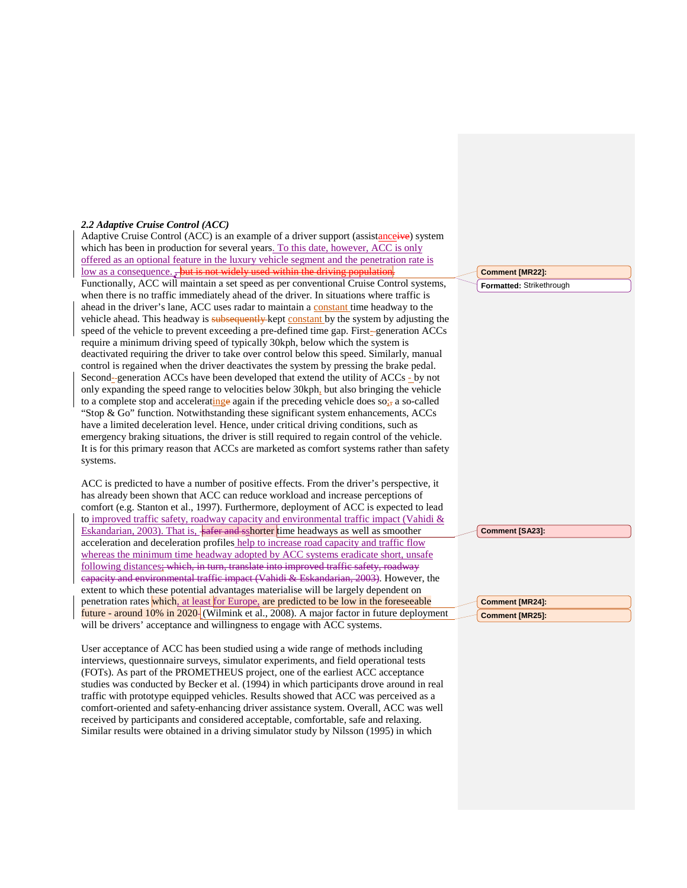#### *2.2 Adaptive Cruise Control (ACC)*

Adaptive Cruise Control (ACC) is an example of a driver support (assistanceive) system which has been in production for several years. To this date, however, ACC is only offered as an optional feature in the luxury vehicle segment and the penetration rate is low as a consequence. , but is not widely used within the driving population. Functionally, ACC will maintain a set speed as per conventional Cruise Control systems, when there is no traffic immediately ahead of the driver. In situations where traffic is ahead in the driver's lane, ACC uses radar to maintain a **constant** time headway to the vehicle ahead. This headway is subsequently kept constant by the system by adjusting the speed of the vehicle to prevent exceeding a pre-defined time gap. First-generation ACCs require a minimum driving speed of typically 30kph, below which the system is deactivated requiring the driver to take over control below this speed. Similarly, manual control is regained when the driver deactivates the system by pressing the brake pedal. Second- generation ACCs have been developed that extend the utility of ACCs - by not only expanding the speed range to velocities below 30kph, but also bringing the vehicle to a complete stop and accelerating eagain if the preceding vehicle does  $so_{57}$  a so-called "Stop & Go" function. Notwithstanding these significant system enhancements, ACCs have a limited deceleration level. Hence, under critical driving conditions, such as emergency braking situations, the driver is still required to regain control of the vehicle. It is for this primary reason that ACCs are marketed as comfort systems rather than safety systems. ACC is predicted to have a number of positive effects. From the driver's perspective, it **Formatted:** Strikethrough **Comment [MR22]:** 

**Comment [SA23]:** 

**Comment [MR24]: Comment [MR25]:** 

has already been shown that ACC can reduce workload and increase perceptions of comfort (e.g. Stanton et al., 1997). Furthermore, deployment of ACC is expected to lead to improved traffic safety, roadway capacity and environmental traffic impact (Vahidi  $\&$ Eskandarian, 2003). That is, safer and sshorter time headways as well as smoother acceleration and deceleration profiles help to increase road capacity and traffic flow whereas the minimum time headway adopted by ACC systems eradicate short, unsafe following distances; which, in turn, translate into improved traffic safety, roadway capacity and environmental traffic impact (Vahidi & Eskandarian, 2003). However, the extent to which these potential advantages materialise will be largely dependent on penetration rates which, at least for Europe, are predicted to be low in the foreseeable future - around  $10\%$  in 2020 (Wilmink et al., 2008). A major factor in future deployment will be drivers' acceptance and willingness to engage with ACC systems.

User acceptance of ACC has been studied using a wide range of methods including interviews, questionnaire surveys, simulator experiments, and field operational tests (FOTs). As part of the PROMETHEUS project, one of the earliest ACC acceptance studies was conducted by Becker et al. (1994) in which participants drove around in real traffic with prototype equipped vehicles. Results showed that ACC was perceived as a comfort-oriented and safety-enhancing driver assistance system. Overall, ACC was well received by participants and considered acceptable, comfortable, safe and relaxing. Similar results were obtained in a driving simulator study by Nilsson (1995) in which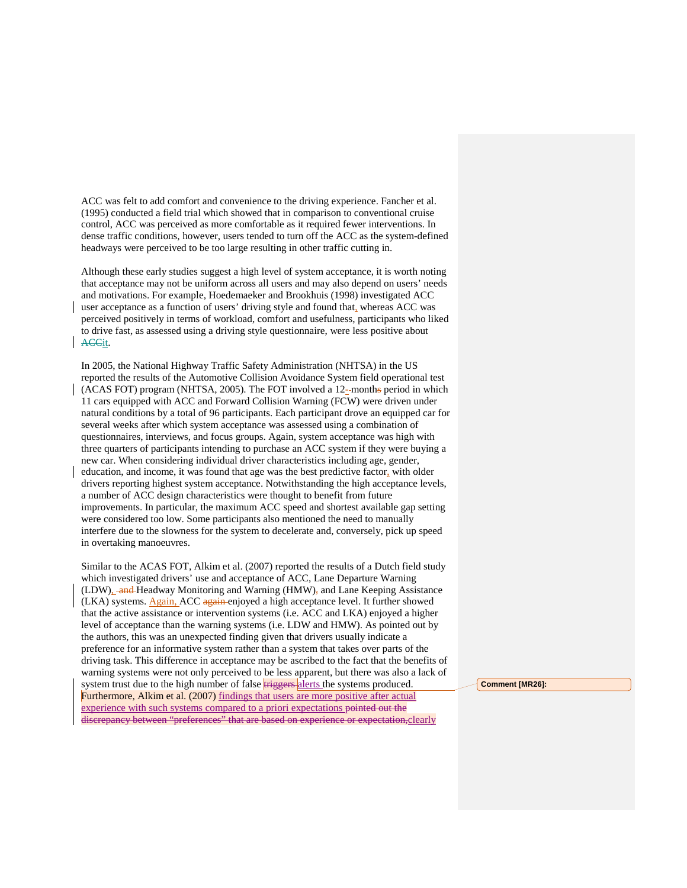ACC was felt to add comfort and convenience to the driving experience. Fancher et al. (1995) conducted a field trial which showed that in comparison to conventional cruise control, ACC was perceived as more comfortable as it required fewer interventions. In dense traffic conditions, however, users tended to turn off the ACC as the system-defined headways were perceived to be too large resulting in other traffic cutting in.

Although these early studies suggest a high level of system acceptance, it is worth noting that acceptance may not be uniform across all users and may also depend on users' needs and motivations. For example, Hoedemaeker and Brookhuis (1998) investigated ACC user acceptance as a function of users' driving style and found that, whereas ACC was perceived positively in terms of workload, comfort and usefulness, participants who liked to drive fast, as assessed using a driving style questionnaire, were less positive about ACCit.

In 2005, the National Highway Traffic Safety Administration (NHTSA) in the US reported the results of the Automotive Collision Avoidance System field operational test (ACAS FOT) program (NHTSA, 2005). The FOT involved a 12- months period in which 11 cars equipped with ACC and Forward Collision Warning (FCW) were driven under natural conditions by a total of 96 participants. Each participant drove an equipped car for several weeks after which system acceptance was assessed using a combination of questionnaires, interviews, and focus groups. Again, system acceptance was high with three quarters of participants intending to purchase an ACC system if they were buying a new car. When considering individual driver characteristics including age, gender, education, and income, it was found that age was the best predictive factor, with older drivers reporting highest system acceptance. Notwithstanding the high acceptance levels, a number of ACC design characteristics were thought to benefit from future improvements. In particular, the maximum ACC speed and shortest available gap setting were considered too low. Some participants also mentioned the need to manually interfere due to the slowness for the system to decelerate and, conversely, pick up speed in overtaking manoeuvres.

Similar to the ACAS FOT, Alkim et al. (2007) reported the results of a Dutch field study which investigated drivers' use and acceptance of ACC, Lane Departure Warning (LDW), and Headway Monitoring and Warning (HMW), and Lane Keeping Assistance (LKA) systems. Again, ACC again enjoyed a high acceptance level. It further showed that the active assistance or intervention systems (i.e. ACC and LKA) enjoyed a higher level of acceptance than the warning systems (i.e. LDW and HMW). As pointed out by the authors, this was an unexpected finding given that drivers usually indicate a preference for an informative system rather than a system that takes over parts of the driving task. This difference in acceptance may be ascribed to the fact that the benefits of warning systems were not only perceived to be less apparent, but there was also a lack of system trust due to the high number of false triggers alerts the systems produced. Furthermore, Alkim et al. (2007) findings that users are more positive after actual experience with such systems compared to a priori expectations pointed out the discrepancy between "preferences" that are based on experience or expectation,clearly

**Comment [MR26]:**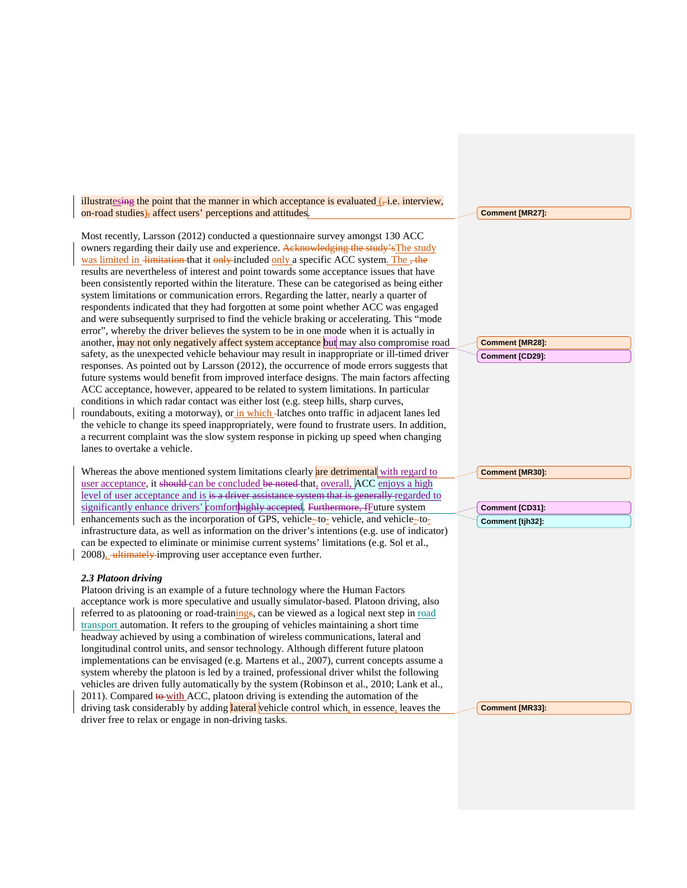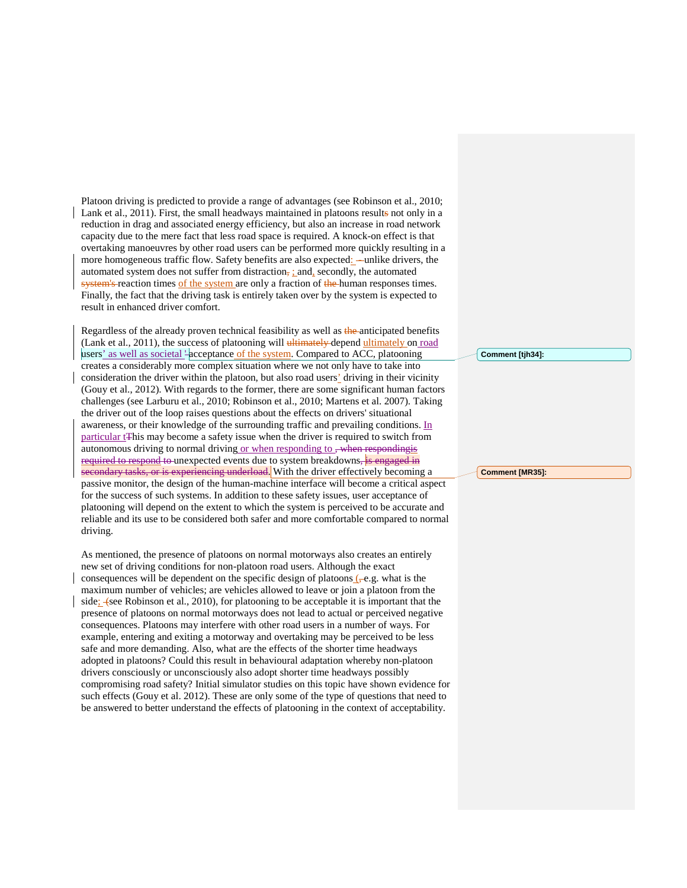Platoon driving is predicted to provide a range of advantages (see Robinson et al., 2010; Lank et al., 2011). First, the small headways maintained in platoons results not only in a reduction in drag and associated energy efficiency, but also an increase in road network capacity due to the mere fact that less road space is required. A knock-on effect is that overtaking manoeuvres by other road users can be performed more quickly resulting in a more homogeneous traffic flow. Safety benefits are also expected: - unlike drivers, the automated system does not suffer from distraction,  $\cdot$  and, secondly, the automated system's reaction times of the system are only a fraction of the human responses times. Finally, the fact that the driving task is entirely taken over by the system is expected to result in enhanced driver comfort.

Regardless of the already proven technical feasibility as well as the anticipated benefits (Lank et al., 2011), the success of platooning will ultimately depend ultimately on road users' as well as societal 'acceptance of the system. Compared to ACC, platooning creates a considerably more complex situation where we not only have to take into consideration the driver within the platoon, but also road users' driving in their vicinity (Gouy et al., 2012). With regards to the former, there are some significant human factors challenges (see Larburu et al., 2010; Robinson et al., 2010; Martens et al. 2007). Taking the driver out of the loop raises questions about the effects on drivers' situational awareness, or their knowledge of the surrounding traffic and prevailing conditions. In particular t<sub>This</sub> may become a safety issue when the driver is required to switch from autonomous driving to normal driving or when responding to, when responding is required to respond to unexpected events due to system breakdowns, is engaged in secondary tasks, or is experiencing underload. With the driver effectively becoming a passive monitor, the design of the human-machine interface will become a critical aspect for the success of such systems. In addition to these safety issues, user acceptance of platooning will depend on the extent to which the system is perceived to be accurate and reliable and its use to be considered both safer and more comfortable compared to normal driving.

As mentioned, the presence of platoons on normal motorways also creates an entirely new set of driving conditions for non-platoon road users. Although the exact consequences will be dependent on the specific design of platoons  $(-e.g.$  what is the maximum number of vehicles; are vehicles allowed to leave or join a platoon from the side; (see Robinson et al., 2010), for platooning to be acceptable it is important that the presence of platoons on normal motorways does not lead to actual or perceived negative consequences. Platoons may interfere with other road users in a number of ways. For example, entering and exiting a motorway and overtaking may be perceived to be less safe and more demanding. Also, what are the effects of the shorter time headways adopted in platoons? Could this result in behavioural adaptation whereby non-platoon drivers consciously or unconsciously also adopt shorter time headways possibly compromising road safety? Initial simulator studies on this topic have shown evidence for such effects (Gouy et al. 2012). These are only some of the type of questions that need to be answered to better understand the effects of platooning in the context of acceptability.

**Comment [tjh34]:** 

**Comment [MR35]:**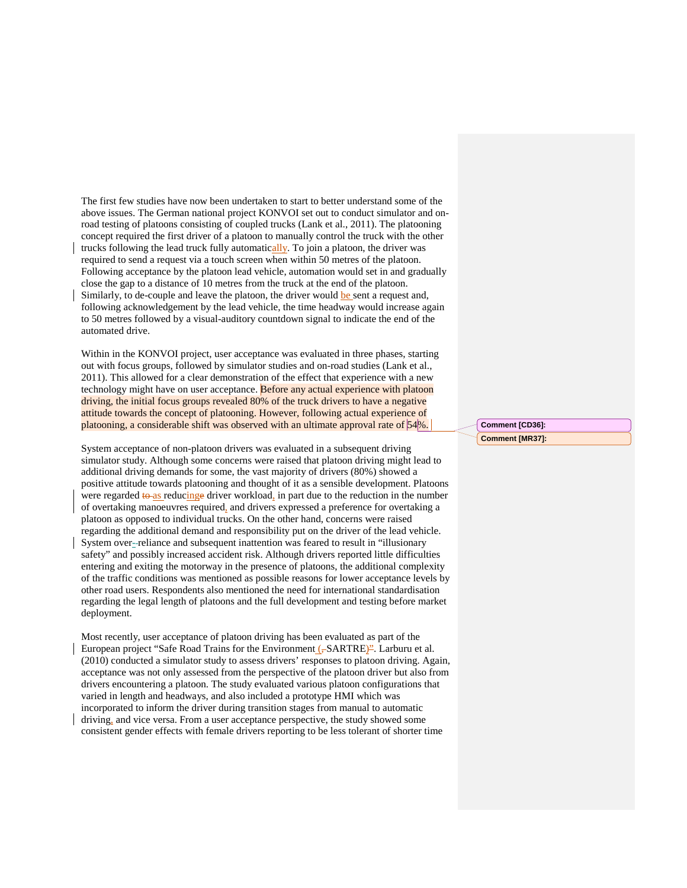The first few studies have now been undertaken to start to better understand some of the above issues. The German national project KONVOI set out to conduct simulator and onroad testing of platoons consisting of coupled trucks (Lank et al., 2011). The platooning concept required the first driver of a platoon to manually control the truck with the other trucks following the lead truck fully automatically. To join a platoon, the driver was required to send a request via a touch screen when within 50 metres of the platoon. Following acceptance by the platoon lead vehicle, automation would set in and gradually close the gap to a distance of 10 metres from the truck at the end of the platoon. Similarly, to de-couple and leave the platoon, the driver would be sent a request and, following acknowledgement by the lead vehicle, the time headway would increase again to 50 metres followed by a visual-auditory countdown signal to indicate the end of the automated drive.

Within in the KONVOI project, user acceptance was evaluated in three phases, starting out with focus groups, followed by simulator studies and on-road studies (Lank et al., 2011). This allowed for a clear demonstration of the effect that experience with a new technology might have on user acceptance. Before any actual experience with platoon driving, the initial focus groups revealed 80% of the truck drivers to have a negative attitude towards the concept of platooning. However, following actual experience of platooning, a considerable shift was observed with an ultimate approval rate of 54%.

System acceptance of non-platoon drivers was evaluated in a subsequent driving simulator study. Although some concerns were raised that platoon driving might lead to additional driving demands for some, the vast majority of drivers (80%) showed a positive attitude towards platooning and thought of it as a sensible development. Platoons were regarded to as reducing driver workload, in part due to the reduction in the number of overtaking manoeuvres required, and drivers expressed a preference for overtaking a platoon as opposed to individual trucks. On the other hand, concerns were raised regarding the additional demand and responsibility put on the driver of the lead vehicle. System over--reliance and subsequent inattention was feared to result in "illusionary" safety" and possibly increased accident risk. Although drivers reported little difficulties entering and exiting the motorway in the presence of platoons, the additional complexity of the traffic conditions was mentioned as possible reasons for lower acceptance levels by other road users. Respondents also mentioned the need for international standardisation regarding the legal length of platoons and the full development and testing before market deployment.

Most recently, user acceptance of platoon driving has been evaluated as part of the European project "Safe Road Trains for the Environment  $\sqrt{-SARTRE)^2}$ . Larburu et al. (2010) conducted a simulator study to assess drivers' responses to platoon driving. Again, acceptance was not only assessed from the perspective of the platoon driver but also from drivers encountering a platoon. The study evaluated various platoon configurations that varied in length and headways, and also included a prototype HMI which was incorporated to inform the driver during transition stages from manual to automatic driving, and vice versa. From a user acceptance perspective, the study showed some consistent gender effects with female drivers reporting to be less tolerant of shorter time

**Comment [CD36]: Comment [MR37]:**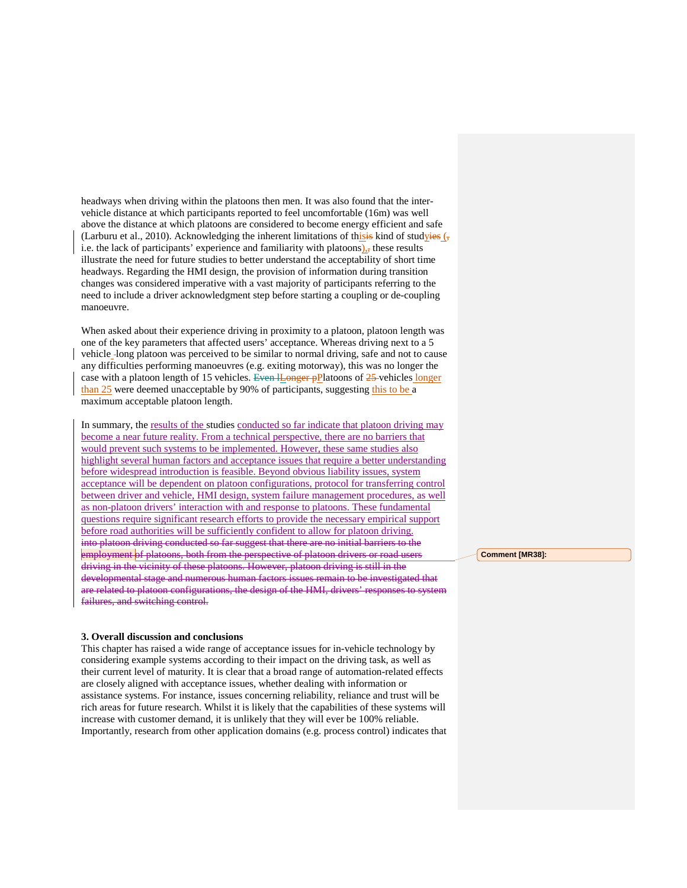headways when driving within the platoons then men. It was also found that the intervehicle distance at which participants reported to feel uncomfortable (16m) was well above the distance at which platoons are considered to become energy efficient and safe (Larburu et al., 2010). Acknowledging the inherent limitations of this is kind of studyies  $\left($ i.e. the lack of participants' experience and familiarity with platoons) $\frac{1}{2}$ , these results illustrate the need for future studies to better understand the acceptability of short time headways. Regarding the HMI design, the provision of information during transition changes was considered imperative with a vast majority of participants referring to the need to include a driver acknowledgment step before starting a coupling or de-coupling manoeuvre.

When asked about their experience driving in proximity to a platoon, platoon length was one of the key parameters that affected users' acceptance. Whereas driving next to a 5 vehicle long platoon was perceived to be similar to normal driving, safe and not to cause any difficulties performing manoeuvres (e.g. exiting motorway), this was no longer the case with a platoon length of 15 vehicles. Even lLonger pPlatoons of 25 vehicles longer than 25 were deemed unacceptable by 90% of participants, suggesting this to be a maximum acceptable platoon length.

In summary, the results of the studies conducted so far indicate that platoon driving may become a near future reality. From a technical perspective, there are no barriers that would prevent such systems to be implemented. However, these same studies also highlight several human factors and acceptance issues that require a better understanding before widespread introduction is feasible. Beyond obvious liability issues, system acceptance will be dependent on platoon configurations, protocol for transferring control between driver and vehicle, HMI design, system failure management procedures, as well as non-platoon drivers' interaction with and response to platoons. These fundamental questions require significant research efforts to provide the necessary empirical support before road authorities will be sufficiently confident to allow for platoon driving. into platoon driving conducted so far suggest that there are no initial barriers to the employment of platoons, both from the perspective of platoon drivers or road users driving in the vicinity of these platoons. However, platoon driving is still in the developmental stage and numerous human factors issues remain to be investigated that are related to platoon configurations, the design of the HMI, drivers' responses to system failures, and switching control.

#### **3. Overall discussion and conclusions**

This chapter has raised a wide range of acceptance issues for in-vehicle technology by considering example systems according to their impact on the driving task, as well as their current level of maturity. It is clear that a broad range of automation-related effects are closely aligned with acceptance issues, whether dealing with information or assistance systems. For instance, issues concerning reliability, reliance and trust will be rich areas for future research. Whilst it is likely that the capabilities of these systems will increase with customer demand, it is unlikely that they will ever be 100% reliable. Importantly, research from other application domains (e.g. process control) indicates that **Comment [MR38]:**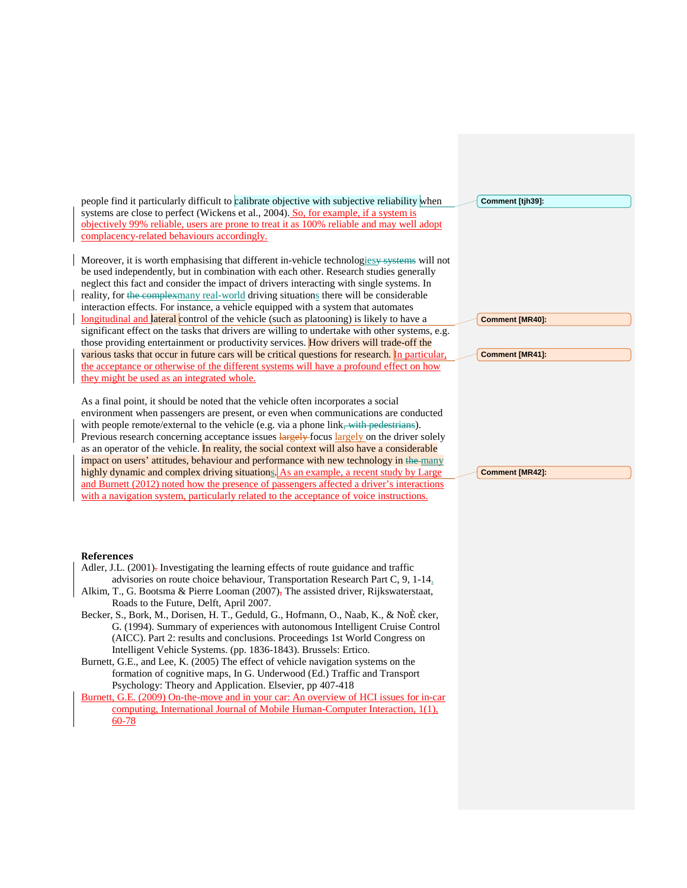

Burnett, G.E., and Lee, K. (2005) The effect of vehicle navigation systems on the formation of cognitive maps, In G. Underwood (Ed.) Traffic and Transport Psychology: Theory and Application. Elsevier, pp 407-418

Burnett, G.E. (2009) On-the-move and in your car: An overview of HCI issues for in-car computing, International Journal of Mobile Human-Computer Interaction, 1(1), 60-78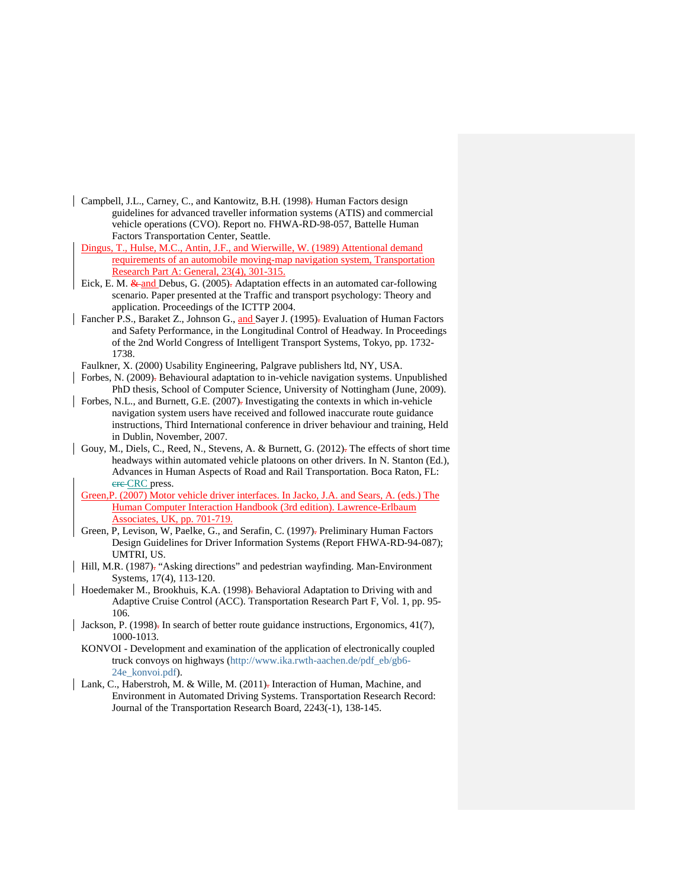- Campbell, J.L., Carney, C., and Kantowitz, B.H. (1998). Human Factors design guidelines for advanced traveller information systems (ATIS) and commercial vehicle operations (CVO). Report no. FHWA-RD-98-057, Battelle Human Factors Transportation Center, Seattle.
- Dingus, T., Hulse, M.C., Antin, J.F., and Wierwille, W. (1989) Attentional demand requirements of an automobile moving-map navigation system, Transportation Research Part A: General, 23(4), 301-315.
- Eick, E. M. & and Debus, G. (2005). Adaptation effects in an automated car-following scenario. Paper presented at the Traffic and transport psychology: Theory and application. Proceedings of the ICTTP 2004.
- Fancher P.S., Baraket Z., Johnson G., and Sayer J. (1995). Evaluation of Human Factors and Safety Performance, in the Longitudinal Control of Headway. In Proceedings of the 2nd World Congress of Intelligent Transport Systems, Tokyo, pp. 1732- 1738.
- Faulkner, X. (2000) Usability Engineering, Palgrave publishers ltd, NY, USA.
- Forbes, N. (2009). Behavioural adaptation to in-vehicle navigation systems. Unpublished PhD thesis, School of Computer Science, University of Nottingham (June, 2009).
- Forbes, N.L., and Burnett, G.E. (2007). Investigating the contexts in which in-vehicle navigation system users have received and followed inaccurate route guidance instructions, Third International conference in driver behaviour and training, Held in Dublin, November, 2007.
- Gouy, M., Diels, C., Reed, N., Stevens, A. & Burnett, G. (2012). The effects of short time headways within automated vehicle platoons on other drivers. In N. Stanton (Ed.), Advances in Human Aspects of Road and Rail Transportation. Boca Raton, FL: ere CRC press.
- Green,P. (2007) Motor vehicle driver interfaces. In Jacko, J.A. and Sears, A. (eds.) The Human Computer Interaction Handbook (3rd edition). Lawrence-Erlbaum Associates, UK, pp. 701-719.
- Green, P, Levison, W, Paelke, G., and Serafin, C. (1997). Preliminary Human Factors Design Guidelines for Driver Information Systems (Report FHWA-RD-94-087); UMTRI, US.
- Hill, M.R. (1987). "Asking directions" and pedestrian wayfinding. Man-Environment Systems, 17(4), 113-120.
- Hoedemaker M., Brookhuis, K.A. (1998). Behavioral Adaptation to Driving with and Adaptive Cruise Control (ACC). Transportation Research Part F, Vol. 1, pp. 95- 106.
- Jackson, P. (1998). In search of better route guidance instructions, Ergonomics, 41(7), 1000-1013.
- KONVOI Development and examination of the application of electronically coupled truck convoys on highways [\(http://www.ika.rwth-aachen.de/pdf\\_eb/gb6-](http://www.ika.rwth-aachen.de/pdf_eb/gb6-24e_konvoi.pdf) [24e\\_konvoi.pdf\)](http://www.ika.rwth-aachen.de/pdf_eb/gb6-24e_konvoi.pdf).
- Lank, C., Haberstroh, M. & Wille, M. (2011). Interaction of Human, Machine, and Environment in Automated Driving Systems. Transportation Research Record: Journal of the Transportation Research Board, 2243(-1), 138-145.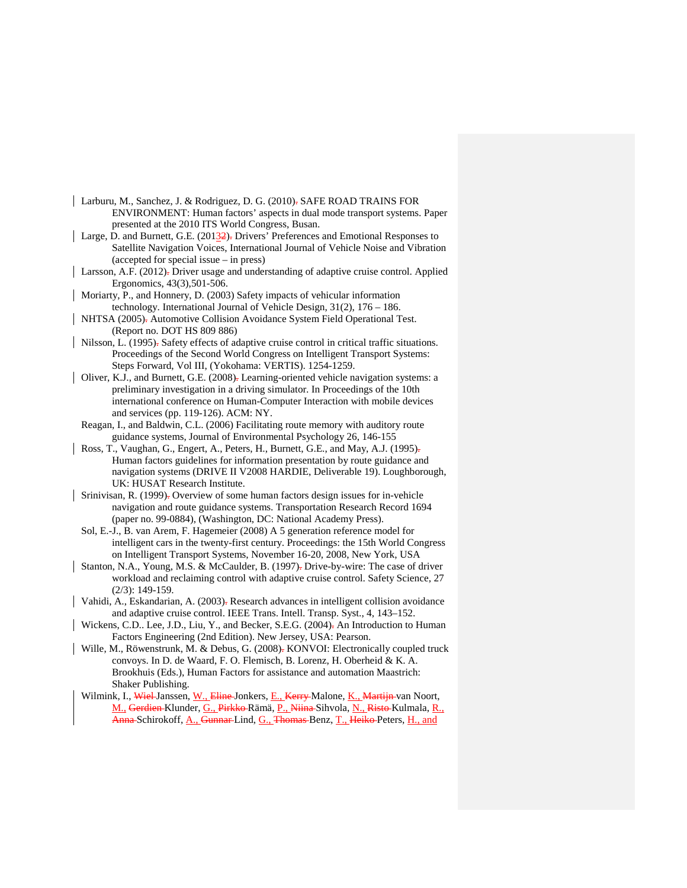- Larburu, M., Sanchez, J. & Rodriguez, D. G. (2010). SAFE ROAD TRAINS FOR ENVIRONMENT: Human factors' aspects in dual mode transport systems. Paper presented at the 2010 ITS World Congress, Busan.
- Large, D. and Burnett, G.E. (2013<del>2).</del> Drivers' Preferences and Emotional Responses to Satellite Navigation Voices, International Journal of Vehicle Noise and Vibration (accepted for special issue – in press)
- Larsson, A.F. (2012). Driver usage and understanding of adaptive cruise control. Applied Ergonomics, 43(3),501-506.
- Moriarty, P., and Honnery, D. (2003) Safety impacts of vehicular information technology. International Journal of Vehicle Design, 31(2), 176 – 186.
- NHTSA (2005). Automotive Collision Avoidance System Field Operational Test. (Report no. DOT HS 809 886)
- Nilsson, L. (1995). Safety effects of adaptive cruise control in critical traffic situations. Proceedings of the Second World Congress on Intelligent Transport Systems: Steps Forward, Vol III, (Yokohama: VERTIS). 1254-1259.
- Oliver, K.J., and Burnett, G.E. (2008). Learning-oriented vehicle navigation systems: a preliminary investigation in a driving simulator. In Proceedings of the 10th international conference on Human-Computer Interaction with mobile devices and services (pp. 119-126). ACM: NY.
- Reagan, I., and Baldwin, C.L. (2006) Facilitating route memory with auditory route guidance systems, Journal of Environmental Psychology 26, 146-155
- Ross, T., Vaughan, G., Engert, A., Peters, H., Burnett, G.E., and May, A.J. (1995). Human factors guidelines for information presentation by route guidance and navigation systems (DRIVE II V2008 HARDIE, Deliverable 19). Loughborough, UK: HUSAT Research Institute.
- Srinivisan, R. (1999). Overview of some human factors design issues for in-vehicle navigation and route guidance systems. Transportation Research Record 1694 (paper no. 99-0884), (Washington, DC: National Academy Press).
- Sol, E.-J., B. van Arem, F. Hagemeier (2008) A 5 generation reference model for intelligent cars in the twenty-first century. Proceedings: the 15th World Congress on Intelligent Transport Systems, November 16-20, 2008, New York, USA
- Stanton, N.A., Young, M.S. & McCaulder, B. (1997). Drive-by-wire: The case of driver workload and reclaiming control with adaptive cruise control. Safety Science, 27 (2/3): 149-159.
- Vahidi, A., Eskandarian, A. (2003). Research advances in intelligent collision avoidance and adaptive cruise control. IEEE Trans. Intell. Transp. Syst., 4, 143–152.
- Wickens, C.D.. Lee, J.D., Liu, Y., and Becker, S.E.G. (2004). An Introduction to Human Factors Engineering (2nd Edition). New Jersey, USA: Pearson.
- Wille, M., Röwenstrunk, M. & Debus, G. (2008). KONVOI: Electronically coupled truck convoys. In D. de Waard, F. O. Flemisch, B. Lorenz, H. Oberheid & K. A. Brookhuis (Eds.), Human Factors for assistance and automation Maastrich: Shaker Publishing.
- Wilmink, I., Wiel-Janssen, W., Eline-Jonkers, E., Kerry-Malone, K., Martijn-van Noort, M., Gerdien Klunder, G., Pirkko Rämä, P., Niina Sihvola, N., Risto Kulmala, R., Anna Schirokoff, A., Gunnar-Lind, G., Thomas-Benz, T., Heiko-Peters, H., and